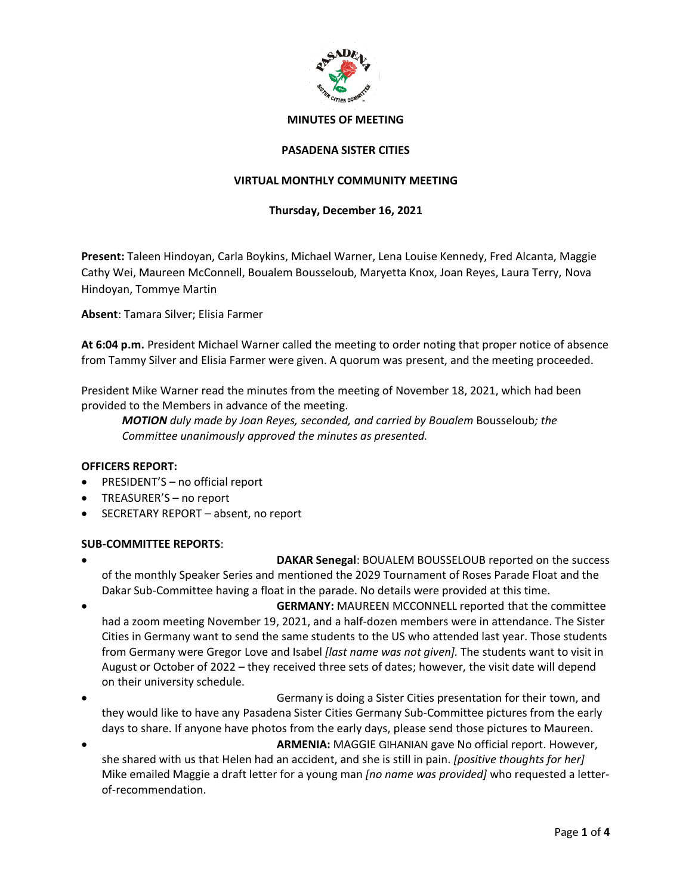

### **PASADENA SISTER CITIES**

# **VIRTUAL MONTHLY COMMUNITY MEETING**

### **Thursday, December 16, 2021**

**Present:** Taleen Hindoyan, Carla Boykins, Michael Warner, Lena Louise Kennedy, Fred Alcanta, Maggie Cathy Wei, Maureen McConnell, Boualem Bousseloub, Maryetta Knox, Joan Reyes, Laura Terry, Nova Hindoyan, Tommye Martin

**Absent**: Tamara Silver; Elisia Farmer

**At 6:04 p.m.** President Michael Warner called the meeting to order noting that proper notice of absence from Tammy Silver and Elisia Farmer were given. A quorum was present, and the meeting proceeded.

President Mike Warner read the minutes from the meeting of November 18, 2021, which had been provided to the Members in advance of the meeting.

*MOTION duly made by Joan Reyes, seconded, and carried by Boualem* Bousseloub*; the Committee unanimously approved the minutes as presented.*

#### **OFFICERS REPORT:**

- PRESIDENT'S no official report
- TREASURER'S no report
- SECRETARY REPORT absent, no report

#### **SUB-COMMITTEE REPORTS**:

- **DAKAR Senegal**: BOUALEM BOUSSELOUB reported on the success of the monthly Speaker Series and mentioned the 2029 Tournament of Roses Parade Float and the Dakar Sub-Committee having a float in the parade. No details were provided at this time.
- **GERMANY:** MAUREEN MCCONNELL reported that the committee had a zoom meeting November 19, 2021, and a half-dozen members were in attendance. The Sister Cities in Germany want to send the same students to the US who attended last year. Those students from Germany were Gregor Love and Isabel *[last name was not given].* The students want to visit in August or October of 2022 – they received three sets of dates; however, the visit date will depend on their university schedule.
- Germany is doing a Sister Cities presentation for their town, and they would like to have any Pasadena Sister Cities Germany Sub-Committee pictures from the early days to share. If anyone have photos from the early days, please send those pictures to Maureen.
- **ARMENIA:** MAGGIE GIHANIAN gave No official report. However, she shared with us that Helen had an accident, and she is still in pain. *[positive thoughts for her]* Mike emailed Maggie a draft letter for a young man *[no name was provided]* who requested a letterof-recommendation.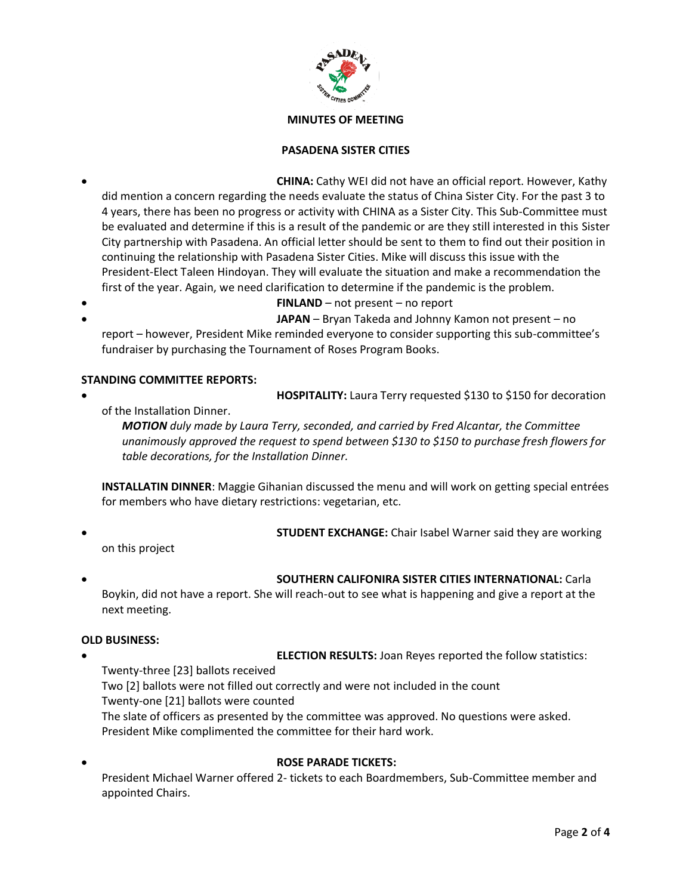

# **PASADENA SISTER CITIES**

- **CHINA:** Cathy WEI did not have an official report. However, Kathy did mention a concern regarding the needs evaluate the status of China Sister City. For the past 3 to 4 years, there has been no progress or activity with CHINA as a Sister City. This Sub-Committee must be evaluated and determine if this is a result of the pandemic or are they still interested in this Sister City partnership with Pasadena. An official letter should be sent to them to find out their position in continuing the relationship with Pasadena Sister Cities. Mike will discuss this issue with the President-Elect Taleen Hindoyan. They will evaluate the situation and make a recommendation the first of the year. Again, we need clarification to determine if the pandemic is the problem.
- **FINLAND** not present no report • **JAPAN** – Bryan Takeda and Johnny Kamon not present – no

report – however, President Mike reminded everyone to consider supporting this sub-committee's fundraiser by purchasing the Tournament of Roses Program Books.

## **STANDING COMMITTEE REPORTS:**

• **HOSPITALITY:** Laura Terry requested \$130 to \$150 for decoration

of the Installation Dinner.

*MOTION duly made by Laura Terry, seconded, and carried by Fred Alcantar, the Committee unanimously approved the request to spend between \$130 to \$150 to purchase fresh flowers for table decorations, for the Installation Dinner.*

**INSTALLATIN DINNER**: Maggie Gihanian discussed the menu and will work on getting special entrées for members who have dietary restrictions: vegetarian, etc.

- **STUDENT EXCHANGE:** Chair Isabel Warner said they are working on this project
- 

# • **SOUTHERN CALIFONIRA SISTER CITIES INTERNATIONAL:** Carla

Boykin, did not have a report. She will reach-out to see what is happening and give a report at the next meeting.

# **OLD BUSINESS:**

**ELECTION RESULTS: Joan Reyes reported the follow statistics:** Twenty-three [23] ballots received Two [2] ballots were not filled out correctly and were not included in the count Twenty-one [21] ballots were counted The slate of officers as presented by the committee was approved. No questions were asked. President Mike complimented the committee for their hard work.

• **ROSE PARADE TICKETS:** President Michael Warner offered 2- tickets to each Boardmembers, Sub-Committee member and appointed Chairs.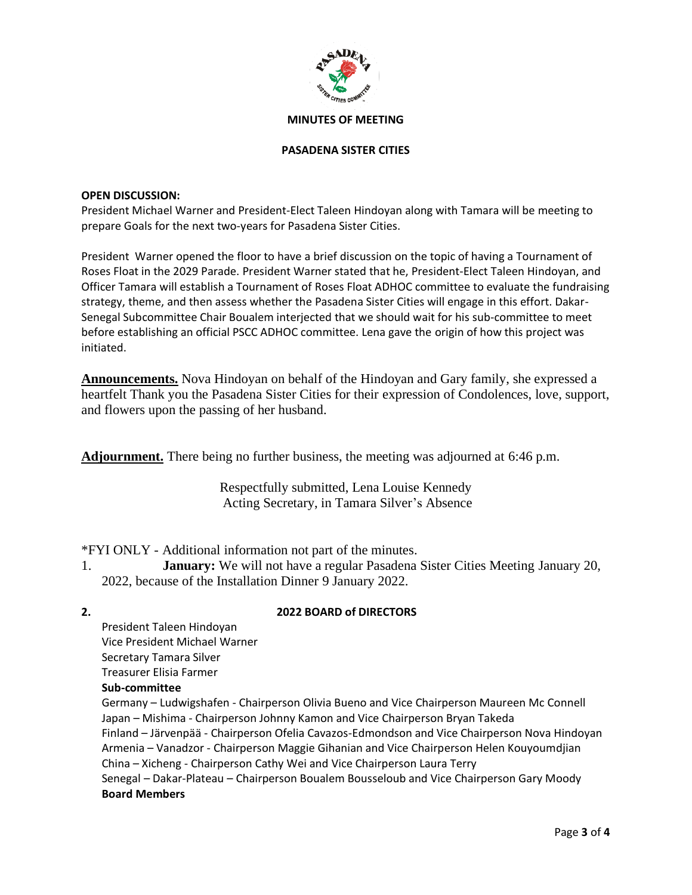

#### **PASADENA SISTER CITIES**

#### **OPEN DISCUSSION:**

President Michael Warner and President-Elect Taleen Hindoyan along with Tamara will be meeting to prepare Goals for the next two-years for Pasadena Sister Cities.

President Warner opened the floor to have a brief discussion on the topic of having a Tournament of Roses Float in the 2029 Parade. President Warner stated that he, President-Elect Taleen Hindoyan, and Officer Tamara will establish a Tournament of Roses Float ADHOC committee to evaluate the fundraising strategy, theme, and then assess whether the Pasadena Sister Cities will engage in this effort. Dakar-Senegal Subcommittee Chair Boualem interjected that we should wait for his sub-committee to meet before establishing an official PSCC ADHOC committee. Lena gave the origin of how this project was initiated.

**Announcements.** Nova Hindoyan on behalf of the Hindoyan and Gary family, she expressed a heartfelt Thank you the Pasadena Sister Cities for their expression of Condolences, love, support, and flowers upon the passing of her husband.

**Adjournment.** There being no further business, the meeting was adjourned at 6:46 p.m.

Respectfully submitted, Lena Louise Kennedy Acting Secretary, in Tamara Silver's Absence

\*FYI ONLY - Additional information not part of the minutes.

- 1. **January:** We will not have a regular Pasadena Sister Cities Meeting January 20, 2022, because of the Installation Dinner 9 January 2022.
- 

# **2. 2022 BOARD of DIRECTORS**

President Taleen Hindoyan Vice President Michael Warner Secretary Tamara Silver Treasurer Elisia Farmer **Sub-committee**  Germany – Ludwigshafen - Chairperson Olivia Bueno and Vice Chairperson Maureen Mc Connell Japan – Mishima - Chairperson Johnny Kamon and Vice Chairperson Bryan Takeda Finland – Järvenpää - Chairperson Ofelia Cavazos-Edmondson and Vice Chairperson Nova Hindoyan Armenia – Vanadzor - Chairperson Maggie Gihanian and Vice Chairperson Helen Kouyoumdjian China – Xicheng - Chairperson Cathy Wei and Vice Chairperson Laura Terry Senegal – Dakar-Plateau – Chairperson Boualem Bousseloub and Vice Chairperson Gary Moody **Board Members**